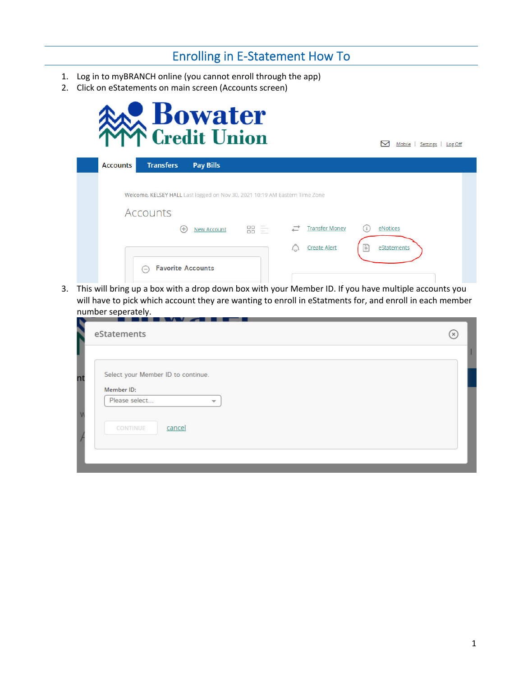# Enrolling in E‐Statement How To

- 1. Log in to myBRANCH online (you cannot enroll through the app)
- 2. Click on eStatements on main screen (Accounts screen)



| <b>Accounts</b> | <b>Transfers</b>                  | <b>Pay Bills</b>                                                            |                  |                       |     |             |  |
|-----------------|-----------------------------------|-----------------------------------------------------------------------------|------------------|-----------------------|-----|-------------|--|
|                 |                                   |                                                                             |                  |                       |     |             |  |
|                 |                                   | Welcome, KELSEY HALL Last logged on Nov 30, 2021 10:19 AM Eastern Time Zone |                  |                       |     |             |  |
|                 | <b>Accounts</b>                   |                                                                             |                  |                       |     |             |  |
|                 | $^{(+)}$                          | <b>New Account</b>                                                          | $=$<br>88<br>$=$ | <b>Transfer Money</b> | ιi. | eNotices    |  |
|                 |                                   |                                                                             |                  | <b>Create Alert</b>   | B   | eStatements |  |
|                 | <b>Favorite Accounts</b><br>$(-)$ |                                                                             |                  | and the con-          |     |             |  |

3. This will bring up a box with a drop down box with your Member ID. If you have multiple accounts you will have to pick which account they are wanting to enroll in eStatments for, and enroll in each member number seperately.

| eStatements                                 | (x) |
|---------------------------------------------|-----|
|                                             |     |
| Select your Member ID to continue.          |     |
| Member ID:<br>Please select<br>$\mathbf{w}$ |     |
|                                             |     |
| cancel<br>CONTINUE                          |     |
|                                             |     |
|                                             |     |

Mobile | Settings | Log Off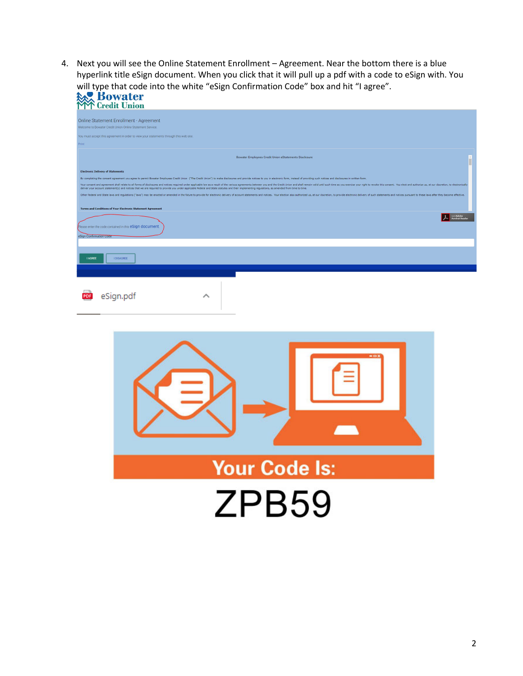4. Next you will see the Online Statement Enrollment – Agreement. Near the bottom there is a blue hyperlink title eSign document. When you click that it will pull up a pdf with a code to eSign with. You will type that code into the white "eSign Confirmation Code" box and hit "I agree".

| <b>Bowater</b><br><b>Example 12</b>                                                                                                                                                                                                                                                                                                                                                                                                                                                                                                                                                                                                                                                                                                                                                                                                                                                                                                                                                                                     |
|-------------------------------------------------------------------------------------------------------------------------------------------------------------------------------------------------------------------------------------------------------------------------------------------------------------------------------------------------------------------------------------------------------------------------------------------------------------------------------------------------------------------------------------------------------------------------------------------------------------------------------------------------------------------------------------------------------------------------------------------------------------------------------------------------------------------------------------------------------------------------------------------------------------------------------------------------------------------------------------------------------------------------|
| Online Statement Enrollment - Agreement<br>Welcome to Bowater Credit Union Online Statement Service.                                                                                                                                                                                                                                                                                                                                                                                                                                                                                                                                                                                                                                                                                                                                                                                                                                                                                                                    |
| You must accept this agreement in order to view your statements through this web site.<br>Print                                                                                                                                                                                                                                                                                                                                                                                                                                                                                                                                                                                                                                                                                                                                                                                                                                                                                                                         |
| <b>Bowater Employees Credit Union eStatements Disclosure</b>                                                                                                                                                                                                                                                                                                                                                                                                                                                                                                                                                                                                                                                                                                                                                                                                                                                                                                                                                            |
| <b>Electronic Delivery of Statements</b><br>By completing the consent agreement you agree to permit Bowater Employees Credit Union ("The Credit Union") to make disclosures and provide notices to you in electronic form, instead of providing such notices and disclosur<br>Your consent and agreement shall relate to all forms of disclosures and notices required under applicable law as a result of the various agreements between you and the Credit Union and shall remain valid until such time as<br>deliver your account statement(s) and notices that we are required to provide you under applicable Federal and State statutes and their implementing regulations, as amended from time to time.<br>Other Federal and State laws and regulations ("laws") may be enacted or amended in the future to provide for electronic delivery of account statements and notices. Your election also authorized us, at our discretion, to pr<br><b>Terms and Conditions of Your Electronic Statement Agreement</b> |
| Please enter the code contained in this eSign document.<br>eSign Confirmation Code                                                                                                                                                                                                                                                                                                                                                                                                                                                                                                                                                                                                                                                                                                                                                                                                                                                                                                                                      |
| <b>I AGREE</b><br><b>I DISAGREE</b>                                                                                                                                                                                                                                                                                                                                                                                                                                                                                                                                                                                                                                                                                                                                                                                                                                                                                                                                                                                     |
| eSign.pdf<br>́                                                                                                                                                                                                                                                                                                                                                                                                                                                                                                                                                                                                                                                                                                                                                                                                                                                                                                                                                                                                          |